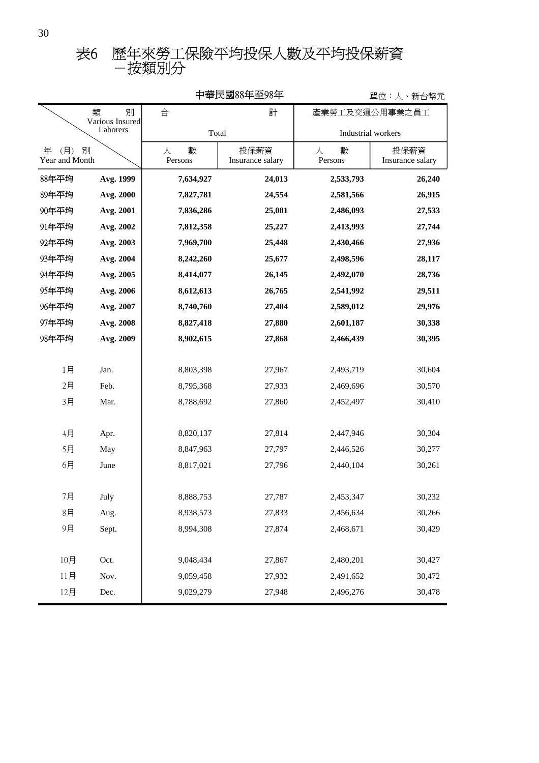| 中華民國88年至98年<br>單位:人、新台幣元              |           |                   |                          |                   |                          |
|---------------------------------------|-----------|-------------------|--------------------------|-------------------|--------------------------|
| 類<br>別<br>Various Insured<br>Laborers |           | 合                 | 計                        | 產業勞工及交通公用事業之員工    |                          |
|                                       |           |                   | Total                    |                   | Industrial workers       |
| 年<br>(月)<br>別<br>Year and Month       |           | 人<br>數<br>Persons | 投保薪資<br>Insurance salary | 數<br>人<br>Persons | 投保薪資<br>Insurance salary |
| 88年平均                                 | Avg. 1999 | 7,634,927         | 24,013                   | 2,533,793         | 26,240                   |
| 89年平均                                 | Avg. 2000 | 7,827,781         | 24,554                   | 2,581,566         | 26,915                   |
| 90年平均                                 | Avg. 2001 | 7,836,286         | 25,001                   | 2,486,093         | 27,533                   |
| 91年平均                                 | Avg. 2002 | 7,812,358         | 25,227                   | 2,413,993         | 27,744                   |
| 92年平均                                 | Avg. 2003 | 7,969,700         | 25,448                   | 2,430,466         | 27,936                   |
| 93年平均                                 | Avg. 2004 | 8,242,260         | 25,677                   | 2,498,596         | 28,117                   |
| 94年平均                                 | Avg. 2005 | 8,414,077         | 26,145                   | 2,492,070         | 28,736                   |
| 95年平均                                 | Avg. 2006 | 8,612,613         | 26,765                   | 2,541,992         | 29,511                   |
| 96年平均                                 | Avg. 2007 | 8,740,760         | 27,404                   | 2,589,012         | 29,976                   |
| 97年平均                                 | Avg. 2008 | 8,827,418         | 27,880                   | 2,601,187         | 30,338                   |
| 98年平均                                 | Avg. 2009 | 8,902,615         | 27,868                   | 2,466,439         | 30,395                   |
|                                       |           |                   |                          |                   |                          |
| 1月                                    | Jan.      | 8,803,398         | 27,967                   | 2,493,719         | 30,604                   |
| 2月                                    | Feb.      | 8,795,368         | 27,933                   | 2,469,696         | 30,570                   |
| 3月                                    | Mar.      | 8,788,692         | 27,860                   | 2,452,497         | 30,410                   |
|                                       |           |                   |                          |                   |                          |
| 4月                                    | Apr.      | 8,820,137         | 27,814                   | 2,447,946         | 30,304                   |
| 5月                                    | May       | 8,847,963         | 27,797                   | 2,446,526         | 30,277                   |
| 6月                                    | June      | 8,817,021         | 27,796                   | 2,440,104         | 30,261                   |
|                                       |           |                   |                          |                   |                          |
| 7月                                    | July      | 8,888,753         | 27,787                   | 2,453,347         | 30,232                   |
| 8 <sup>7</sup>                        | Aug.      | 8,938,573         | 27,833                   | 2,456,634         | 30,266                   |
| 9月                                    | Sept.     | 8,994,308         | 27,874                   | 2,468,671         | 30,429                   |
|                                       |           |                   |                          |                   |                          |
| 10月                                   | Oct.      | 9,048,434         | 27,867                   | 2,480,201         | 30,427                   |
| 11月                                   | Nov.      | 9,059,458         | 27,932                   | 2,491,652         | 30,472                   |
| 12月                                   | Dec.      | 9,029,279         | 27,948                   | 2,496,276         | 30,478                   |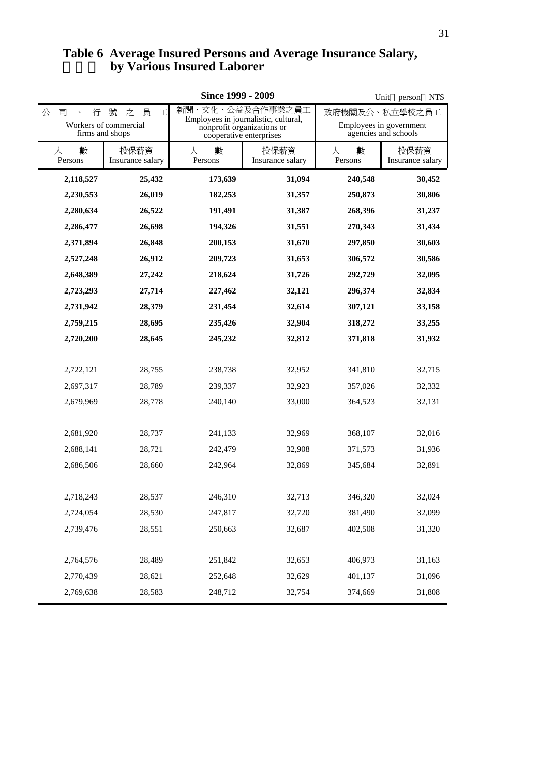# **by Various Insured Laborer Table 6 Average Insured Persons and Average Insurance Salary,**

|                                    |                                                                        |                   | Unit person<br>NT\$                                                                                               |                                                                   |                          |
|------------------------------------|------------------------------------------------------------------------|-------------------|-------------------------------------------------------------------------------------------------------------------|-------------------------------------------------------------------|--------------------------|
| 公<br>行<br>司<br>$\hat{\phantom{a}}$ | 員<br>號<br>之<br>$\mathbb T$<br>Workers of commercial<br>firms and shops |                   | 新聞、文化、公益及合作事業之員工<br>Employees in journalistic, cultural,<br>nonprofit organizations or<br>cooperative enterprises | 政府機關及公、私立學校之員工<br>Employees in government<br>agencies and schools |                          |
| 數<br>人<br>Persons                  | 投保薪資<br>Insurance salary                                               | 數<br>人<br>Persons | 投保薪資<br>Insurance salary                                                                                          | 數<br>人<br>Persons                                                 | 投保薪資<br>Insurance salary |
| 2,118,527                          | 25,432                                                                 | 173,639           | 31,094                                                                                                            | 240,548                                                           | 30,452                   |
| 2,230,553                          | 26,019                                                                 | 182,253           | 31,357                                                                                                            | 250,873                                                           | 30,806                   |
| 2,280,634                          | 26,522                                                                 | 191,491           | 31,387                                                                                                            | 268,396                                                           | 31,237                   |
| 2,286,477                          | 26,698                                                                 | 194,326           | 31,551                                                                                                            | 270,343                                                           | 31,434                   |
| 2,371,894                          | 26,848                                                                 | 200,153           | 31,670                                                                                                            | 297,850                                                           | 30,603                   |
| 2,527,248                          | 26,912                                                                 | 209,723           | 31,653                                                                                                            | 306,572                                                           | 30,586                   |
| 2,648,389                          | 27,242                                                                 | 218,624           | 31,726                                                                                                            | 292,729                                                           | 32,095                   |
| 2,723,293                          | 27,714                                                                 | 227,462           | 32,121                                                                                                            | 296,374                                                           | 32,834                   |
| 2,731,942                          | 28,379                                                                 | 231,454           | 32,614                                                                                                            | 307,121                                                           | 33,158                   |
| 2,759,215                          | 28,695                                                                 | 235,426           | 32,904                                                                                                            | 318,272                                                           | 33,255                   |
| 2,720,200                          | 28,645                                                                 | 245,232           | 32,812                                                                                                            | 371,818                                                           | 31,932                   |
| 2,722,121                          | 28,755                                                                 | 238,738           | 32,952                                                                                                            | 341,810                                                           | 32,715                   |
| 2,697,317                          | 28,789                                                                 | 239,337           | 32,923                                                                                                            | 357,026                                                           | 32,332                   |
| 2,679,969                          | 28,778                                                                 | 240,140           | 33,000                                                                                                            | 364,523                                                           | 32,131                   |
| 2,681,920                          | 28,737                                                                 | 241,133           | 32,969                                                                                                            | 368,107                                                           | 32,016                   |
| 2,688,141                          | 28,721                                                                 | 242,479           | 32,908                                                                                                            | 371,573                                                           | 31,936                   |
| 2,686,506                          | 28,660                                                                 | 242,964           | 32,869                                                                                                            | 345,684                                                           | 32,891                   |
| 2,718,243                          | 28,537                                                                 | 246,310           | 32,713                                                                                                            | 346,320                                                           | 32,024                   |
| 2,724,054                          | 28,530                                                                 | 247,817           | 32,720                                                                                                            | 381,490                                                           | 32,099                   |
| 2,739,476                          | 28,551                                                                 | 250,663           | 32,687                                                                                                            | 402,508                                                           | 31,320                   |
| 2,764,576                          | 28,489                                                                 | 251,842           | 32,653                                                                                                            | 406,973                                                           | 31,163                   |
| 2,770,439                          | 28,621                                                                 | 252,648           | 32,629                                                                                                            | 401,137                                                           | 31,096                   |
| 2,769,638                          | 28,583                                                                 | 248,712           | 32,754                                                                                                            | 374,669                                                           | 31,808                   |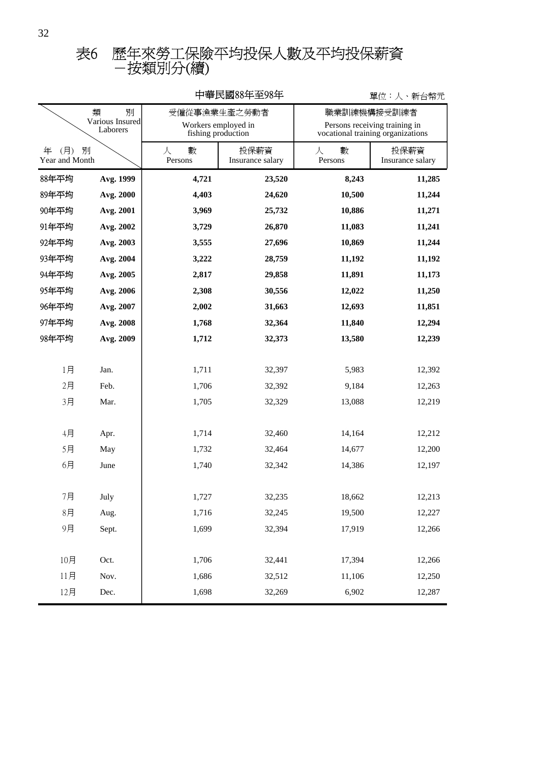# -按類別分(續) 表6 歷年來勞工保險平均投保人數及平均投保薪資

| 十半仄図00十土フ0十<br>里位・人、新台幤兀              |           |                                                           |                          |                                                                                   |                          |  |
|---------------------------------------|-----------|-----------------------------------------------------------|--------------------------|-----------------------------------------------------------------------------------|--------------------------|--|
| 類<br>別<br>Various Insured<br>Laborers |           | 受僱從事漁業生產之勞動者<br>Workers employed in<br>fishing production |                          | 職業訓練機構接受訓練者<br>Persons receiving training in<br>vocational training organizations |                          |  |
| (月)<br>年<br>Year and Month            | 別         | 數<br>人<br>Persons                                         | 投保薪資<br>Insurance salary | 數<br>人<br>Persons                                                                 | 投保薪資<br>Insurance salary |  |
| 88年平均                                 | Avg. 1999 | 4,721                                                     | 23,520                   | 8,243                                                                             | 11,285                   |  |
| 89年平均                                 | Avg. 2000 | 4,403                                                     | 24,620                   | 10,500                                                                            | 11,244                   |  |
| 90年平均                                 | Avg. 2001 | 3,969                                                     | 25,732                   | 10,886                                                                            | 11,271                   |  |
| 91年平均                                 | Avg. 2002 | 3,729                                                     | 26,870                   | 11,083                                                                            | 11,241                   |  |
| 92年平均                                 | Avg. 2003 | 3,555                                                     | 27,696                   | 10,869                                                                            | 11,244                   |  |
| 93年平均                                 | Avg. 2004 | 3,222                                                     | 28,759                   | 11,192                                                                            | 11,192                   |  |
| 94年平均                                 | Avg. 2005 | 2,817                                                     | 29,858                   | 11,891                                                                            | 11,173                   |  |
| 95年平均                                 | Avg. 2006 | 2,308                                                     | 30,556                   | 12,022                                                                            | 11,250                   |  |
| 96年平均                                 | Avg. 2007 | 2,002                                                     | 31,663                   | 12,693                                                                            | 11,851                   |  |
| 97年平均                                 | Avg. 2008 | 1,768                                                     | 32,364                   | 11,840                                                                            | 12,294                   |  |
| 98年平均                                 | Avg. 2009 | 1,712                                                     | 32,373                   | 13,580                                                                            | 12,239                   |  |
|                                       |           |                                                           |                          |                                                                                   |                          |  |
| 1月                                    | Jan.      | 1,711                                                     | 32,397                   | 5,983                                                                             | 12,392                   |  |
| 2月                                    | Feb.      | 1,706                                                     | 32,392                   | 9,184                                                                             | 12,263                   |  |
| 3月                                    | Mar.      | 1,705                                                     | 32,329                   | 13,088                                                                            | 12,219                   |  |
|                                       |           |                                                           |                          |                                                                                   |                          |  |
| 4月                                    | Apr.      | 1,714                                                     | 32,460                   | 14,164                                                                            | 12,212                   |  |
| 5月                                    | May       | 1,732                                                     | 32,464                   | 14,677                                                                            | 12,200                   |  |
| 6月                                    | June      | 1,740                                                     | 32,342                   | 14,386                                                                            | 12,197                   |  |
|                                       |           |                                                           |                          |                                                                                   |                          |  |
| 7月                                    | July      | 1,727                                                     | 32,235                   | 18,662                                                                            | 12,213                   |  |
| 8 <sup>7</sup>                        | Aug.      | 1,716                                                     | 32,245                   | 19,500                                                                            | 12,227                   |  |
| 9月                                    | Sept.     | 1,699                                                     | 32,394                   | 17,919                                                                            | 12,266                   |  |
|                                       |           |                                                           |                          |                                                                                   |                          |  |
| 10月                                   | Oct.      | 1,706                                                     | 32,441                   | 17,394                                                                            | 12,266                   |  |
| 11月                                   | Nov.      | 1,686                                                     | 32,512                   | 11,106                                                                            | 12,250                   |  |
| 12月                                   | Dec.      | 1,698                                                     | 32,269                   | 6,902                                                                             | 12,287                   |  |

### 中華民國88年至98年

單位:人、新台幣元